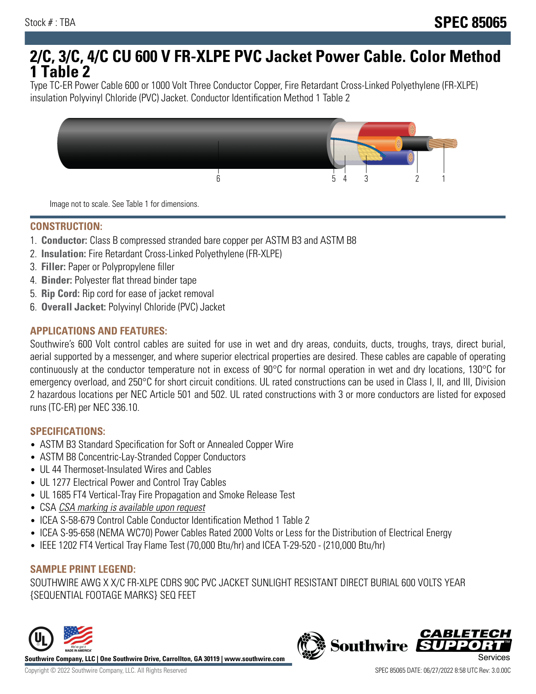# **2/C, 3/C, 4/C CU 600 V FR-XLPE PVC Jacket Power Cable. Color Method 1 Table 2**

Type TC-ER Power Cable 600 or 1000 Volt Three Conductor Copper, Fire Retardant Cross-Linked Polyethylene (FR-XLPE) insulation Polyvinyl Chloride (PVC) Jacket. Conductor Identification Method 1 Table 2



Image not to scale. See Table 1 for dimensions.

#### **CONSTRUCTION:**

- 1. **Conductor:** Class B compressed stranded bare copper per ASTM B3 and ASTM B8
- 2. **Insulation:** Fire Retardant Cross-Linked Polyethylene (FR-XLPE)
- 3. **Filler:** Paper or Polypropylene filler
- 4. **Binder:** Polyester flat thread binder tape
- 5. **Rip Cord:** Rip cord for ease of jacket removal
- 6. **Overall Jacket:** Polyvinyl Chloride (PVC) Jacket

## **APPLICATIONS AND FEATURES:**

Southwire's 600 Volt control cables are suited for use in wet and dry areas, conduits, ducts, troughs, trays, direct burial, aerial supported by a messenger, and where superior electrical properties are desired. These cables are capable of operating continuously at the conductor temperature not in excess of 90°C for normal operation in wet and dry locations, 130°C for emergency overload, and 250°C for short circuit conditions. UL rated constructions can be used in Class I, II, and III, Division 2 hazardous locations per NEC Article 501 and 502. UL rated constructions with 3 or more conductors are listed for exposed runs (TC-ER) per NEC 336.10.

#### **SPECIFICATIONS:**

- ASTM B3 Standard Specification for Soft or Annealed Copper Wire
- ASTM B8 Concentric-Lay-Stranded Copper Conductors
- UL 44 Thermoset-Insulated Wires and Cables
- UL 1277 Electrical Power and Control Tray Cables
- UL 1685 FT4 Vertical-Tray Fire Propagation and Smoke Release Test
- CSA CSA marking is available upon request
- ICEA S-58-679 Control Cable Conductor Identification Method 1 Table 2
- ICEA S-95-658 (NEMA WC70) Power Cables Rated 2000 Volts or Less for the Distribution of Electrical Energy
- IEEE 1202 FT4 Vertical Tray Flame Test (70,000 Btu/hr) and ICEA T-29-520 (210,000 Btu/hr)

#### **SAMPLE PRINT LEGEND:**

SOUTHWIRE AWG X X/C FR-XLPE CDRS 90C PVC JACKET SUNLIGHT RESISTANT DIRECT BURIAL 600 VOLTS YEAR {SEQUENTIAL FOOTAGE MARKS} SEQ FEET